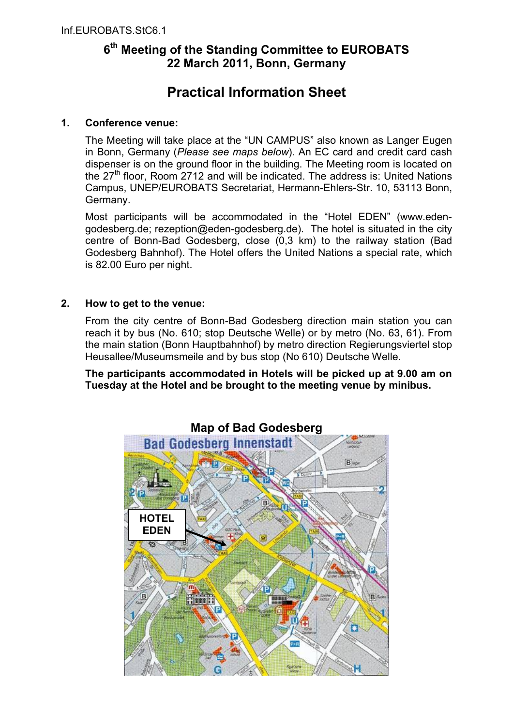## **6 th Meeting of the Standing Committee to EUROBATS 22 March 2011, Bonn, Germany**

# **Practical Information Sheet**

### **1. Conference venue:**

The Meeting will take place at the "UN CAMPUS" also known as Langer Eugen in Bonn, Germany (*Please see maps below*). An EC card and credit card cash dispenser is on the ground floor in the building. The Meeting room is located on the  $27<sup>th</sup>$  floor, Room 2712 and will be indicated. The address is: United Nations Campus, UNEP/EUROBATS Secretariat, Hermann-Ehlers-Str. 10, 53113 Bonn, Germany.

Most participants will be accommodated in the "Hotel EDEN" (www.edengodesberg.de; rezeption@eden-godesberg.de). The hotel is situated in the city centre of Bonn-Bad Godesberg, close (0,3 km) to the railway station (Bad Godesberg Bahnhof). The Hotel offers the United Nations a special rate, which is 82.00 Euro per night.

### **2. How to get to the venue:**

From the city centre of Bonn-Bad Godesberg direction main station you can reach it by bus (No. 610; stop Deutsche Welle) or by metro (No. 63, 61). From the main station (Bonn Hauptbahnhof) by metro direction Regierungsviertel stop Heusallee/Museumsmeile and by bus stop (No 610) Deutsche Welle.

**The participants accommodated in Hotels will be picked up at 9.00 am on Tuesday at the Hotel and be brought to the meeting venue by minibus.**